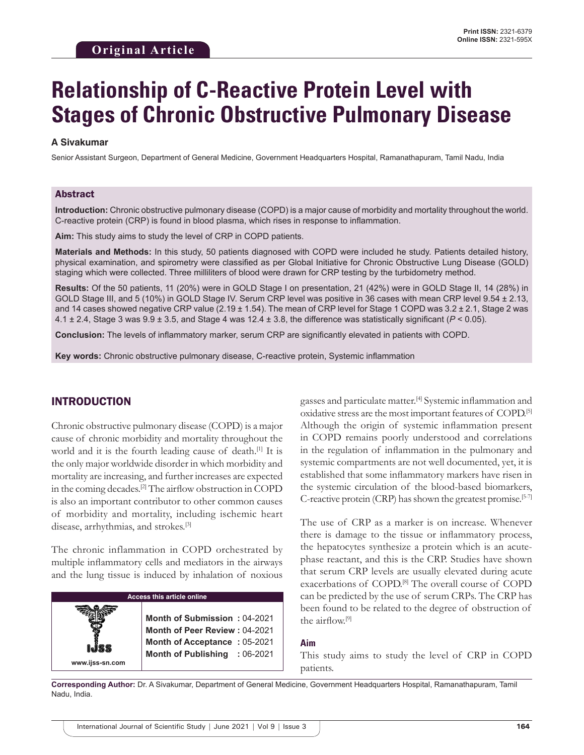# **Relationship of C-Reactive Protein Level with Stages of Chronic Obstructive Pulmonary Disease**

#### **A Sivakumar**

Senior Assistant Surgeon, Department of General Medicine, Government Headquarters Hospital, Ramanathapuram, Tamil Nadu, India

#### Abstract

**Introduction:** Chronic obstructive pulmonary disease (COPD) is a major cause of morbidity and mortality throughout the world. C-reactive protein (CRP) is found in blood plasma, which rises in response to inflammation.

**Aim:** This study aims to study the level of CRP in COPD patients.

**Materials and Methods:** In this study, 50 patients diagnosed with COPD were included he study. Patients detailed history, physical examination, and spirometry were classified as per Global Initiative for Chronic Obstructive Lung Disease (GOLD) staging which were collected. Three milliliters of blood were drawn for CRP testing by the turbidometry method.

**Results:** Of the 50 patients, 11 (20%) were in GOLD Stage I on presentation, 21 (42%) were in GOLD Stage II, 14 (28%) in GOLD Stage III, and 5 (10%) in GOLD Stage IV. Serum CRP level was positive in 36 cases with mean CRP level 9.54 ± 2.13, and 14 cases showed negative CRP value (2.19 ± 1.54). The mean of CRP level for Stage 1 COPD was 3.2 ± 2.1, Stage 2 was 4.1 ± 2.4, Stage 3 was 9.9 ± 3.5, and Stage 4 was 12.4 ± 3.8, the difference was statistically significant (*P* < 0.05).

**Conclusion:** The levels of inflammatory marker, serum CRP are significantly elevated in patients with COPD.

**Key words:** Chronic obstructive pulmonary disease, C-reactive protein, Systemic inflammation

### INTRODUCTION

Chronic obstructive pulmonary disease (COPD) is a major cause of chronic morbidity and mortality throughout the world and it is the fourth leading cause of death.[1] It is the only major worldwide disorder in which morbidity and mortality are increasing, and further increases are expected in the coming decades.[2] The airflow obstruction in COPD is also an important contributor to other common causes of morbidity and mortality, including ischemic heart disease, arrhythmias, and strokes.[3]

The chronic inflammation in COPD orchestrated by multiple inflammatory cells and mediators in the airways and the lung tissue is induced by inhalation of noxious

| <b>Access this article online</b> |                                                                                                                                |  |
|-----------------------------------|--------------------------------------------------------------------------------------------------------------------------------|--|
| www.ijss-sn.com                   | Month of Submission: 04-2021<br>Month of Peer Review: 04-2021<br>Month of Acceptance: 05-2021<br>Month of Publishing : 06-2021 |  |

gasses and particulate matter.[4] Systemic inflammation and oxidative stress are the most important features of COPD.[5] Although the origin of systemic inflammation present in COPD remains poorly understood and correlations in the regulation of inflammation in the pulmonary and systemic compartments are not well documented, yet, it is established that some inflammatory markers have risen in the systemic circulation of the blood-based biomarkers, C-reactive protein (CRP) has shown the greatest promise.<sup>[5-7]</sup>

The use of CRP as a marker is on increase. Whenever there is damage to the tissue or inflammatory process, the hepatocytes synthesize a protein which is an acutephase reactant, and this is the CRP. Studies have shown that serum CRP levels are usually elevated during acute exacerbations of COPD.<sup>[8]</sup> The overall course of COPD can be predicted by the use of serum CRPs. The CRP has been found to be related to the degree of obstruction of the airflow.[9]

#### **Aim**

This study aims to study the level of CRP in COPD patients.

**Corresponding Author:** Dr. A Sivakumar, Department of General Medicine, Government Headquarters Hospital, Ramanathapuram, Tamil Nadu, India.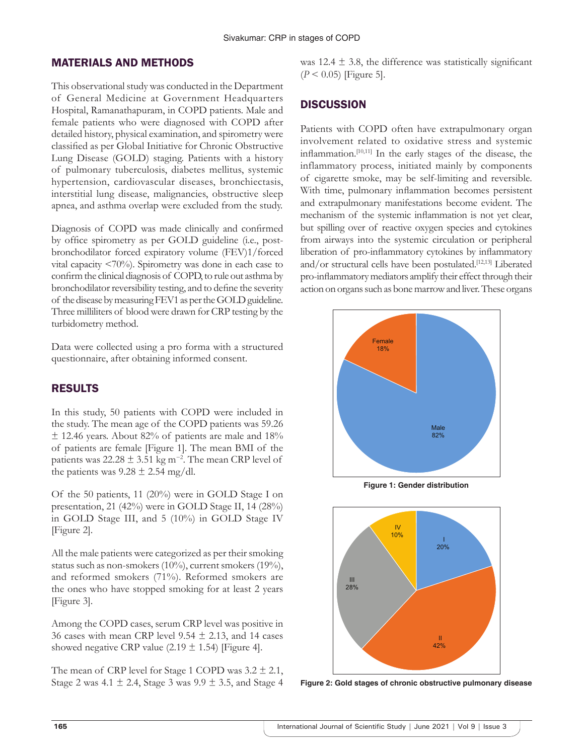## MATERIALS AND METHODS

This observational study was conducted in the Department of General Medicine at Government Headquarters Hospital, Ramanathapuram, in COPD patients. Male and female patients who were diagnosed with COPD after detailed history, physical examination, and spirometry were classified as per Global Initiative for Chronic Obstructive Lung Disease (GOLD) staging. Patients with a history of pulmonary tuberculosis, diabetes mellitus, systemic hypertension, cardiovascular diseases, bronchiectasis, interstitial lung disease, malignancies, obstructive sleep apnea, and asthma overlap were excluded from the study.

Diagnosis of COPD was made clinically and confirmed by office spirometry as per GOLD guideline (i.e., postbronchodilator forced expiratory volume (FEV)1/forced vital capacity <70%). Spirometry was done in each case to confirm the clinical diagnosis of COPD, to rule out asthma by bronchodilator reversibility testing, and to define the severity of the disease by measuring FEV1 as per the GOLD guideline. Three milliliters of blood were drawn for CRP testing by the turbidometry method.

Data were collected using a pro forma with a structured questionnaire, after obtaining informed consent.

# RESULTS

In this study, 50 patients with COPD were included in the study. The mean age of the COPD patients was 59.26  $\pm$  12.46 years. About 82% of patients are male and 18% of patients are female [Figure 1]. The mean BMI of the patients was  $22.28 \pm 3.51$  kg m<sup>-2</sup>. The mean CRP level of the patients was  $9.28 \pm 2.54$  mg/dl.

Of the 50 patients, 11 (20%) were in GOLD Stage I on presentation, 21 (42%) were in GOLD Stage II, 14 (28%) in GOLD Stage III, and 5 (10%) in GOLD Stage IV [Figure 2].

All the male patients were categorized as per their smoking status such as non-smokers (10%), current smokers (19%), and reformed smokers (71%). Reformed smokers are the ones who have stopped smoking for at least 2 years [Figure 3].

Among the COPD cases, serum CRP level was positive in 36 cases with mean CRP level 9.54  $\pm$  2.13, and 14 cases showed negative CRP value (2.19  $\pm$  1.54) [Figure 4].

The mean of CRP level for Stage 1 COPD was  $3.2 \pm 2.1$ , Stage 2 was 4.1  $\pm$  2.4, Stage 3 was 9.9  $\pm$  3.5, and Stage 4 was  $12.4 \pm 3.8$ , the difference was statistically significant (*P* < 0.05) [Figure 5].

# **DISCUSSION**

Patients with COPD often have extrapulmonary organ involvement related to oxidative stress and systemic inflammation.[10,11] In the early stages of the disease, the inflammatory process, initiated mainly by components of cigarette smoke, may be self-limiting and reversible. With time, pulmonary inflammation becomes persistent and extrapulmonary manifestations become evident. The mechanism of the systemic inflammation is not yet clear, but spilling over of reactive oxygen species and cytokines from airways into the systemic circulation or peripheral liberation of pro-inflammatory cytokines by inflammatory and/or structural cells have been postulated.[12,13] Liberated pro-inflammatory mediators amplify their effect through their action on organs such as bone marrow and liver. These organs



**Figure 1: Gender distribution**



**Figure 2: Gold stages of chronic obstructive pulmonary disease**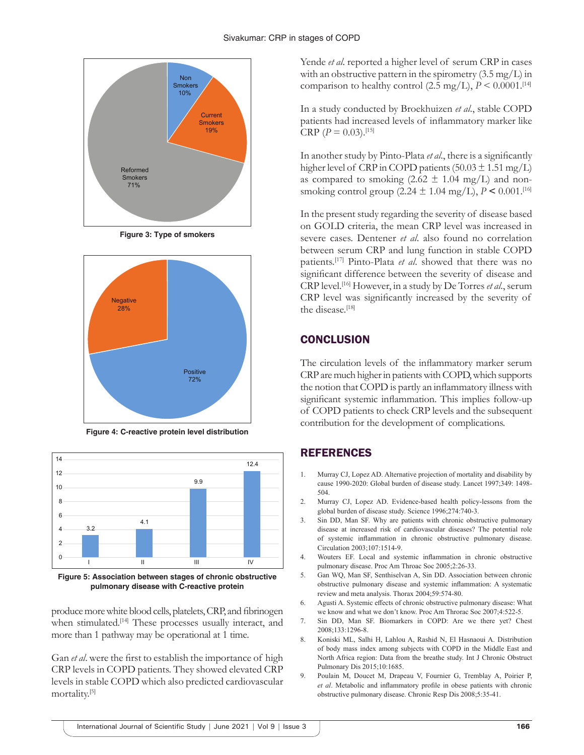

**Figure 3: Type of smokers**



**Figure 4: C-reactive protein level distribution**



**Figure 5: Association between stages of chronic obstructive pulmonary disease with C-reactive protein**

produce more white blood cells, platelets, CRP, and fibrinogen when stimulated.<sup>[14]</sup> These processes usually interact, and more than 1 pathway may be operational at 1 time.

Gan *et al*. were the first to establish the importance of high CRP levels in COPD patients. They showed elevated CRP levels in stable COPD which also predicted cardiovascular mortality.[5]

Yende *et al*. reported a higher level of serum CRP in cases with an obstructive pattern in the spirometry (3.5 mg/L) in comparison to healthy control (2.5 mg/L),  $P \le 0.0001$ .<sup>[14]</sup>

In a study conducted by Broekhuizen *et al*., stable COPD patients had increased levels of inflammatory marker like CRP  $(P = 0.03)$ .<sup>[15]</sup>

In another study by Pinto-Plata *et al*., there is a significantly higher level of CRP in COPD patients  $(50.03 \pm 1.51 \text{ mg/L})$ as compared to smoking  $(2.62 \pm 1.04 \text{ mg/L})$  and nonsmoking control group  $(2.24 \pm 1.04 \text{ mg/L})$ ,  $P < 0.001$ .<sup>[16]</sup>

In the present study regarding the severity of disease based on GOLD criteria, the mean CRP level was increased in severe cases. Dentener *et al*. also found no correlation between serum CRP and lung function in stable COPD patients.[17] Pinto-Plata *et al*. showed that there was no significant difference between the severity of disease and CRP level.[16] However, in a study by De Torres *et al*., serum CRP level was significantly increased by the severity of the disease.[18]

## **CONCLUSION**

The circulation levels of the inflammatory marker serum CRP are much higher in patients with COPD, which supports the notion that COPD is partly an inflammatory illness with significant systemic inflammation. This implies follow-up of COPD patients to check CRP levels and the subsequent contribution for the development of complications.

# REFERENCES

- 1. Murray CJ, Lopez AD. Alternative projection of mortality and disability by cause 1990-2020: Global burden of disease study. Lancet 1997;349: 1498- 504.
- 2. Murray CJ, Lopez AD. Evidence-based health policy-lessons from the global burden of disease study. Science 1996;274:740-3.
- 3. Sin DD, Man SF. Why are patients with chronic obstructive pulmonary disease at increased risk of cardiovascular diseases? The potential role of systemic inflammation in chronic obstructive pulmonary disease. Circulation 2003;107:1514-9.
- 4. Wouters EF. Local and systemic inflammation in chronic obstructive pulmonary disease. Proc Am Throac Soc 2005;2:26-33.
- 5. Gan WQ, Man SF, Senthiselvan A, Sin DD. Association between chronic obstructive pulmonary disease and systemic inflammation: A systematic review and meta analysis. Thorax 2004;59:574-80.
- 6. Agusti A. Systemic effects of chronic obstructive pulmonary disease: What we know and what we don't know. Proc Am Throrac Soc 2007;4:522-5.
- 7. Sin DD, Man SF. Biomarkers in COPD: Are we there yet? Chest 2008;133:1296-8.
- 8. Koniski ML, Salhi H, Lahlou A, Rashid N, El Hasnaoui A. Distribution of body mass index among subjects with COPD in the Middle East and North Africa region: Data from the breathe study. Int J Chronic Obstruct Pulmonary Dis 2015;10:1685.
- 9. Poulain M, Doucet M, Drapeau V, Fournier G, Tremblay A, Poirier P, *et al*. Metabolic and inflammatory profile in obese patients with chronic obstructive pulmonary disease. Chronic Resp Dis 2008;5:35-41.